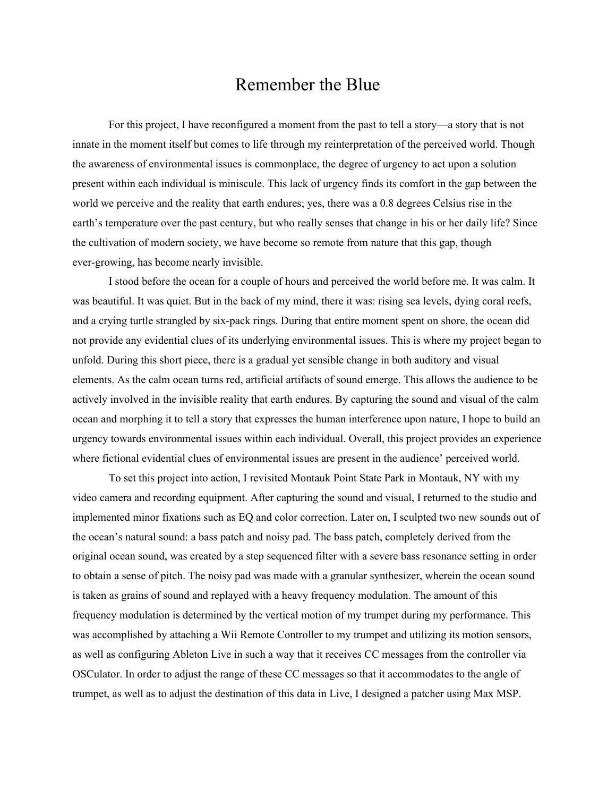## Remember the Blue

For this project, I have reconfigured a moment from the past to tell a story—a story that is not innate in the moment itself but comes to life through my reinterpretation of the perceived world. Though the awareness of environmental issues is commonplace, the degree of urgency to act upon a solution present within each individual is miniscule. This lack of urgency finds its comfort in the gap between the world we perceive and the reality that earth endures; yes, there was a 0.8 degrees Celsius rise in the earth's temperature over the past century, but who really senses that change in his or her daily life? Since the cultivation of modern society, we have become so remote from nature that this gap, though ever-growing, has become nearly invisible.

I stood before the ocean for a couple of hours and perceived the world before me. It was calm. It was beautiful. It was quiet. But in the back of my mind, there it was: rising sea levels, dying coral reefs, and a crying turtle strangled by six-pack rings. During that entire moment spent on shore, the ocean did not provide any evidential clues of its underlying environmental issues. This is where my project began to unfold. During this short piece, there is a gradual yet sensible change in both auditory and visual elements. As the calm ocean turns red, artificial artifacts of sound emerge. This allows the audience to be actively involved in the invisible reality that earth endures. By capturing the sound and visual of the calm ocean and morphing it to tell a story that expresses the human interference upon nature, I hope to build an urgency towards environmental issues within each individual. Overall, this project provides an experience where fictional evidential clues of environmental issues are present in the audience' perceived world.

To set this project into action, I revisited Montauk Point State Park in Montauk, NY with my video camera and recording equipment. After capturing the sound and visual, I returned to the studio and implemented minor fixations such as EQ and color correction. Later on, I sculpted two new sounds out of the ocean's natural sound: a bass patch and noisy pad. The bass patch, completely derived from the original ocean sound, was created by a step sequenced filter with a severe bass resonance setting in order to obtain a sense of pitch. The noisy pad was made with a granular synthesizer, wherein the ocean sound is taken as grains of sound and replayed with a heavy frequency modulation. The amount of this frequency modulation is determined by the vertical motion of my trumpet during my performance. This was accomplished by attaching a Wii Remote Controller to my trumpet and utilizing its motion sensors, as well as configuring Ableton Live in such a way that it receives CC messages from the controller via OSCulator. In order to adjust the range of these CC messages so that it accommodates to the angle of trumpet, as well as to adjust the destination of this data in Live, I designed a patcher using Max MSP.